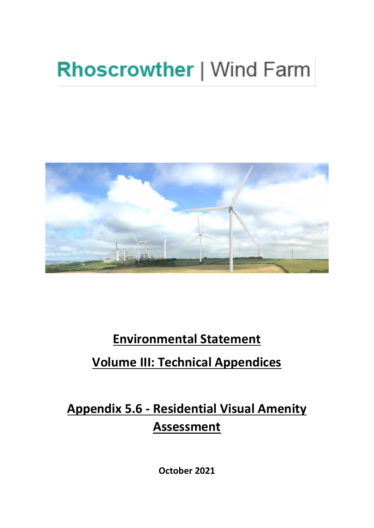# **Rhoscrowther | Wind Farm**



## **Environmental Statement**

## **Volume III: Technical Appendices**

## **Appendix 5.6 - Residential Visual Amenity Assessment**

**October 2021**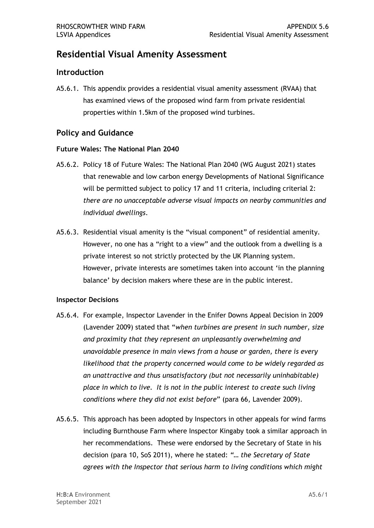### **Residential Visual Amenity Assessment**

### **Introduction**

 A5.6.1. This appendix provides a residential visual amenity assessment (RVAA) that has examined views of the proposed wind farm from private residential properties within 1.5km of the proposed wind turbines.

### **Policy and Guidance**

#### **Future Wales: The National Plan 2040**

- A5.6.2. Policy 18 of Future Wales: The National Plan 2040 (WG August 2021) states that renewable and low carbon energy Developments of National Significance will be permitted subject to policy 17 and 11 criteria, including criterial 2:  *there are no unacceptable adverse visual impacts on nearby communities and individual dwellings*.
- A5.6.3. Residential visual amenity is the "visual component" of residential amenity. However, no one has a "right to a view" and the outlook from a dwelling is a private interest so not strictly protected by the UK Planning system. However, private interests are sometimes taken into account 'in the planning balance' by decision makers where these are in the public interest.

#### **Inspector Decisions**

- A5.6.4. For example, Inspector Lavender in the Enifer Downs Appeal Decision in 2009 (Lavender 2009) stated that "*when turbines are present in such number, size and proximity that they represent an unpleasantly overwhelming and unavoidable presence in main views from a house or garden, there is every likelihood that the property concerned would come to be widely regarded as an unattractive and thus unsatisfactory (but not necessarily uninhabitable) place in which to live. It is not in the public interest to create such living conditions where they did not exist before*" (para 66, Lavender 2009).
- including Burnthouse Farm where Inspector Kingaby took a similar approach in her recommendations. These were endorsed by the Secretary of State in his  decision (para 10, SoS 2011), where he stated: *"… the Secretary of State agrees with the Inspector that serious harm to living conditions which might*  A5.6.5. This approach has been adopted by Inspectors in other appeals for wind farms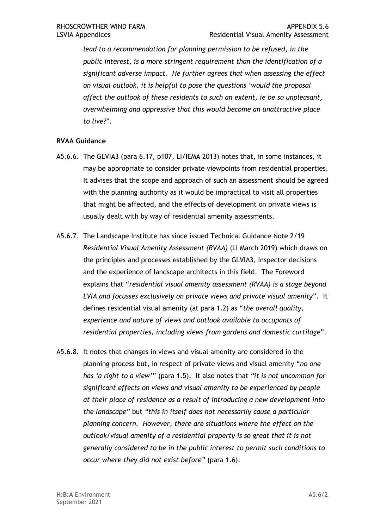*lead to a recommendation for planning permission to be refused, in the public interest, is a more stringent requirement than the identification of a significant adverse impact. He further agrees that when assessing the effect on visual outlook, it is helpful to pose the questions 'would the proposal affect the outlook of these residents to such an extent, ie be so unpleasant, overwhelming and oppressive that this would become an unattractive place to live?*".

#### **RVAA Guidance**

- may be appropriate to consider private viewpoints from residential properties. It advises that the scope and approach of such an assessment should be agreed with the planning authority as it would be impractical to visit all properties that might be affected, and the effects of development on private views is usually dealt with by way of residential amenity assessments. A5.6.6. The GLVIA3 (para 6.17, p107, LI/IEMA 2013) notes that, in some instances, it
- *Residential Visual Amenity Assessment (RVAA)* (LI March 2019) which draws on the principles and processes established by the GLVIA3, Inspector decisions and the experience of landscape architects in this field. The Foreword  explains that "*residential visual amenity assessment (RVAA) is a stage beyond LVIA and focusses exclusively on private views and private visual amenity*". It defines residential visual amenity (at para 1.2) as "*the overall quality, experience and nature of views and outlook available to occupants of residential properties, including views from gardens and domestic curtilage*". A5.6.7. The Landscape Institute has since issued Technical Guidance Note 2/19
- A5.6.8. It notes that changes in views and visual amenity are considered in the planning process but, in respect of private views and visual amenity "*no one has 'a right to a view'*" (para 1.5). It also notes that *"it is not uncommon for significant effects on views and visual amenity to be experienced by people at their place of residence as a result of introducing a new development into the landscape"* but *"this in itself does not necessarily cause a particular planning concern. However, there are situations where the effect on the outlook/visual amenity of a residential property is so great that it is not generally considered to be in the public interest to permit such conditions to occur where they did not exist before"* (para 1.6).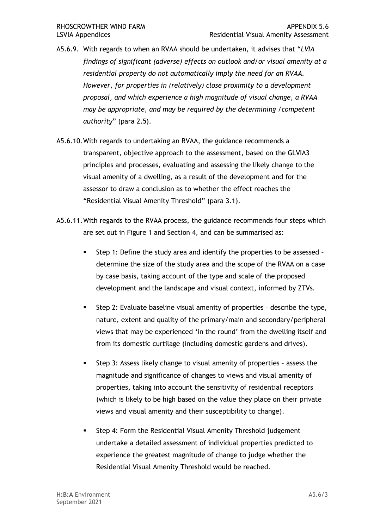- A5.6.9. With regards to when an RVAA should be undertaken, it advises that "*LVIA findings of significant (adverse) effects on outlook and/or visual amenity at a residential property do not automatically imply the need for an RVAA. However, for properties in (relatively) close proximity to a development proposal, and which experience a high magnitude of visual change, a RVAA may be appropriate, and may be required by the determining /competent authority*" (para 2.5).
- A5.6.10.With regards to undertaking an RVAA, the guidance recommends a transparent, objective approach to the assessment, based on the GLVIA3 principles and processes, evaluating and assessing the likely change to the visual amenity of a dwelling, as a result of the development and for the assessor to draw a conclusion as to whether the effect reaches the "Residential Visual Amenity Threshold" (para 3.1).
- A5.6.11.With regards to the RVAA process, the guidance recommends four steps which are set out in Figure 1 and Section 4, and can be summarised as:
	- Step 1: Define the study area and identify the properties to be assessed - determine the size of the study area and the scope of the RVAA on a case by case basis, taking account of the type and scale of the proposed development and the landscape and visual context, informed by ZTVs.
	- **EXEM** Step 2: Evaluate baseline visual amenity of properties describe the type, nature, extent and quality of the primary/main and secondary/peripheral views that may be experienced 'in the round' from the dwelling itself and from its domestic curtilage (including domestic gardens and drives).
	- Step 3: Assess likely change to visual amenity of properties assess the magnitude and significance of changes to views and visual amenity of properties, taking into account the sensitivity of residential receptors (which is likely to be high based on the value they place on their private views and visual amenity and their susceptibility to change).
	- Step 4: Form the Residential Visual Amenity Threshold judgement - undertake a detailed assessment of individual properties predicted to experience the greatest magnitude of change to judge whether the Residential Visual Amenity Threshold would be reached.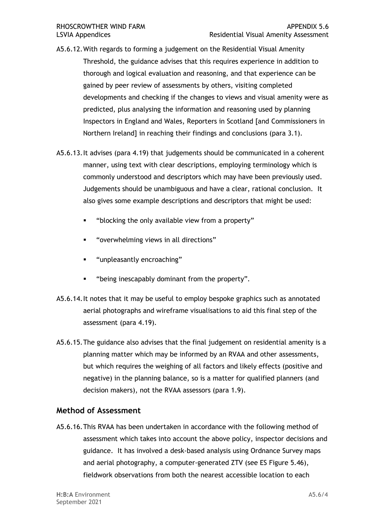- A5.6.12.With regards to forming a judgement on the Residential Visual Amenity Threshold, the guidance advises that this requires experience in addition to thorough and logical evaluation and reasoning, and that experience can be gained by peer review of assessments by others, visiting completed developments and checking if the changes to views and visual amenity were as predicted, plus analysing the information and reasoning used by planning Inspectors in England and Wales, Reporters in Scotland [and Commissioners in Northern Ireland] in reaching their findings and conclusions (para 3.1).
- [A5.6.13.It](https://A5.6.13.It) advises (para 4.19) that judgements should be communicated in a coherent manner, using text with clear descriptions, employing terminology which is commonly understood and descriptors which may have been previously used. Judgements should be unambiguous and have a clear, rational conclusion. It also gives some example descriptions and descriptors that might be used:
	- "blocking the only available view from a property"
	- "overwhelming views in all directions"
	- "unpleasantly encroaching"
	- "being inescapably dominant from the property".
- [A5.6.14.It](https://A5.6.14.It) notes that it may be useful to employ bespoke graphics such as annotated aerial photographs and wireframe visualisations to aid this final step of the assessment (para 4.19).
- A5.6.15.The guidance also advises that the final judgement on residential amenity is a planning matter which may be informed by an RVAA and other assessments, but which requires the weighing of all factors and likely effects (positive and negative) in the planning balance, so is a matter for qualified planners (and decision makers), not the RVAA assessors (para 1.9).

### **Method of Assessment**

 A5.6.16.This RVAA has been undertaken in accordance with the following method of assessment which takes into account the above policy, inspector decisions and guidance. It has involved a desk-based analysis using Ordnance Survey maps and aerial photography, a computer-generated ZTV (see ES Figure 5.46), fieldwork observations from both the nearest accessible location to each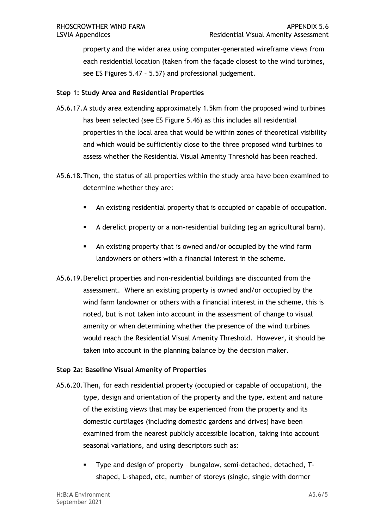property and the wider area using computer-generated wireframe views from each residential location (taken from the façade closest to the wind turbines, see ES Figures 5.47 – 5.57) and professional judgement.

### **Step 1: Study Area and Residential Properties**

- A5.6.17.A study area extending approximately 1.5km from the proposed wind turbines has been selected (see ES Figure 5.46) as this includes all residential properties in the local area that would be within zones of theoretical visibility and which would be sufficiently close to the three proposed wind turbines to assess whether the Residential Visual Amenity Threshold has been reached.
- A5.6.18.Then, the status of all properties within the study area have been examined to determine whether they are:
	- An existing residential property that is occupied or capable of occupation.
	- A derelict property or a non-residential building (eg an agricultural barn).
	- An existing property that is owned and/or occupied by the wind farm landowners or others with a financial interest in the scheme.
- A5.6.19.Derelict properties and non-residential buildings are discounted from the assessment. Where an existing property is owned and/or occupied by the wind farm landowner or others with a financial interest in the scheme, this is noted, but is not taken into account in the assessment of change to visual would reach the Residential Visual Amenity Threshold. However, it should be taken into account in the planning balance by the decision maker. amenity or when determining whether the presence of the wind turbines

#### **Step 2a: Baseline Visual Amenity of Properties**

- A5.6.20.Then, for each residential property (occupied or capable of occupation), the type, design and orientation of the property and the type, extent and nature of the existing views that may be experienced from the property and its examined from the nearest publicly accessible location, taking into account seasonal variations, and using descriptors such as: domestic curtilages (including domestic gardens and drives) have been
	- ▪ Type and design of property bungalow, semi-detached, detached, Tshaped, L-shaped, etc, number of storeys (single, single with dormer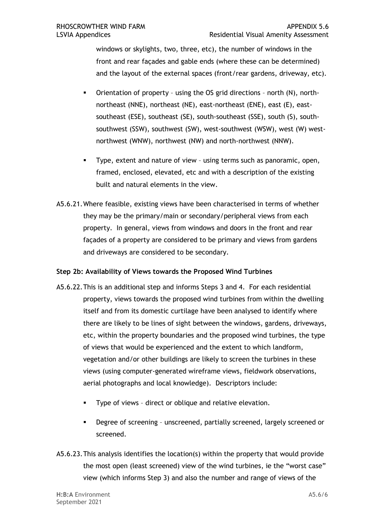windows or skylights, two, three, etc), the number of windows in the front and rear façades and gable ends (where these can be determined) and the layout of the external spaces (front/rear gardens, driveway, etc).

- ▪ Orientation of property using the OS grid directions north (N), north- northeast (NNE), northeast (NE), east-northeast (ENE), east (E), east- southeast (ESE), southeast (SE), south-southeast (SSE), south (S), south- northwest (WNW), northwest (NW) and north-northwest (NNW). southwest (SSW), southwest (SW), west-southwest (WSW), west (W) west-
- ▪ Type, extent and nature of view using terms such as panoramic, open, framed, enclosed, elevated, etc and with a description of the existing built and natural elements in the view.
- A5.6.21.Where feasible, existing views have been characterised in terms of whether they may be the primary/main or secondary/peripheral views from each property. In general, views from windows and doors in the front and rear façades of a property are considered to be primary and views from gardens and driveways are considered to be secondary.

### **Step 2b: Availability of Views towards the Proposed Wind Turbines**

- A5.6.22.This is an additional step and informs Steps 3 and 4. For each residential property, views towards the proposed wind turbines from within the dwelling there are likely to be lines of sight between the windows, gardens, driveways, etc, within the property boundaries and the proposed wind turbines, the type of views that would be experienced and the extent to which landform, vegetation and/or other buildings are likely to screen the turbines in these aerial photographs and local knowledge). Descriptors include: itself and from its domestic curtilage have been analysed to identify where views (using computer-generated wireframe views, fieldwork observations,
	- Type of views direct or oblique and relative elevation.
	- ▪ Degree of screening unscreened, partially screened, largely screened or screened.
- A5.6.23.This analysis identifies the location(s) within the property that would provide the most open (least screened) view of the wind turbines, ie the "worst case" view (which informs Step 3) and also the number and range of views of the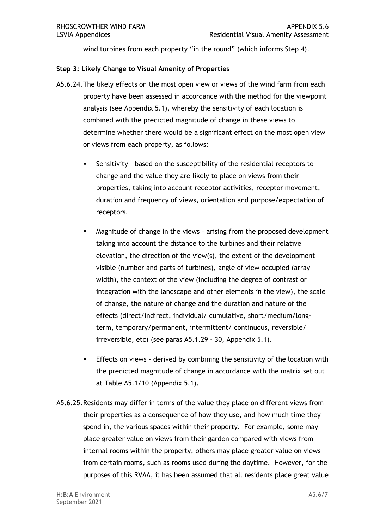wind turbines from each property "in the round" (which informs Step 4).

#### **Step 3: Likely Change to Visual Amenity of Properties**

- A5.6.24.The likely effects on the most open view or views of the wind farm from each property have been assessed in accordance with the method for the viewpoint analysis (see Appendix 5.1), whereby the sensitivity of each location is combined with the predicted magnitude of change in these views to determine whether there would be a significant effect on the most open view or views from each property, as follows:
	- ▪ Sensitivity based on the susceptibility of the residential receptors to change and the value they are likely to place on views from their duration and frequency of views, orientation and purpose/expectation of properties, taking into account receptor activities, receptor movement, receptors.
	- Magnitude of change in the views arising from the proposed development taking into account the distance to the turbines and their relative elevation, the direction of the view(s), the extent of the development visible (number and parts of turbines), angle of view occupied (array width), the context of the view (including the degree of contrast or integration with the landscape and other elements in the view), the scale of change, the nature of change and the duration and nature of the irreversible, etc) (see paras A5.1.29 - 30, Appendix 5.1). effects (direct/indirect, individual/ cumulative, short/medium/longterm, temporary/permanent, intermittent/ continuous, reversible/
	- **Effects on views derived by combining the sensitivity of the location with**  the predicted magnitude of change in accordance with the matrix set out at Table A5.1/10 (Appendix 5.1).
- at Table A5.1/10 (Appendix 5.1).<br>A5.6.25. Residents may differ in terms of the value they place on different views from their properties as a consequence of how they use, and how much time they spend in, the various spaces within their property. For example, some may place greater value on views from their garden compared with views from from certain rooms, such as rooms used during the daytime. However, for the purposes of this RVAA, it has been assumed that all residents place great value internal rooms within the property, others may place greater value on views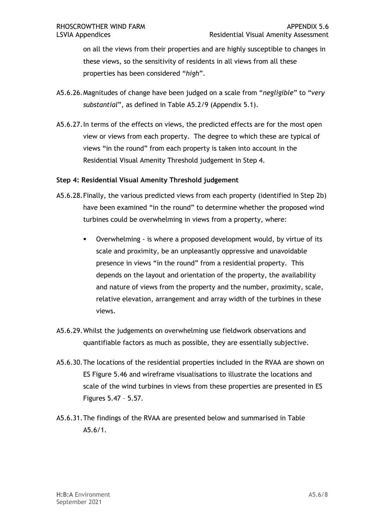on all the views from their properties and are highly susceptible to changes in these views, so the sensitivity of residents in all views from all these properties has been considered "*high*".

- A5.6.26.Magnitudes of change have been judged on a scale from "*negligible*" to "*very substantial*", as defined in Table A5.2/9 (Appendix 5.1).
- [A5.6.27.In](https://A5.6.27.In) terms of the effects on views, the predicted effects are for the most open view or views from each property. The degree to which these are typical of views "in the round" from each property is taken into account in the Residential Visual Amenity Threshold judgement in Step 4.

#### **Step 4: Residential Visual Amenity Threshold judgement**

- A5.6.28.Finally, the various predicted views from each property (identified in Step 2b) turbines could be overwhelming in views from a property, where: have been examined "in the round" to determine whether the proposed wind
	- ▪ Overwhelming is where a proposed development would, by virtue of its scale and proximity, be an unpleasantly oppressive and unavoidable presence in views "in the round" from a residential property. This depends on the layout and orientation of the property, the availability and nature of views from the property and the number, proximity, scale, relative elevation, arrangement and array width of the turbines in these views.
- A5.6.29.Whilst the judgements on overwhelming use fieldwork observations and quantifiable factors as much as possible, they are essentially subjective.
- A5.6.30.The locations of the residential properties included in the RVAA are shown on ES Figure 5.46 and wireframe visualisations to illustrate the locations and scale of the wind turbines in views from these properties are presented in ES Figures 5.47 – 5.57.
- A5.6.31.The findings of the RVAA are presented below and summarised in Table A5.6/1.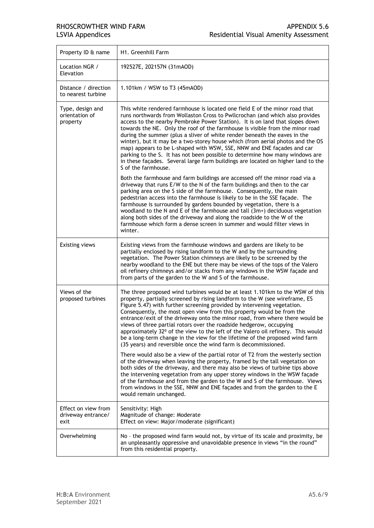| Property ID & name                                | H1. Greenhill Farm                                                                                                                                                                                                                                                                                                                                                                                                                                                                                                                                                                                                                                                                                                                                               |
|---------------------------------------------------|------------------------------------------------------------------------------------------------------------------------------------------------------------------------------------------------------------------------------------------------------------------------------------------------------------------------------------------------------------------------------------------------------------------------------------------------------------------------------------------------------------------------------------------------------------------------------------------------------------------------------------------------------------------------------------------------------------------------------------------------------------------|
| Location NGR /<br>Elevation                       | 192527E, 202157N (31mAOD)                                                                                                                                                                                                                                                                                                                                                                                                                                                                                                                                                                                                                                                                                                                                        |
| Distance / direction<br>to nearest turbine        | 1.101km / WSW to T3 (45mAOD)                                                                                                                                                                                                                                                                                                                                                                                                                                                                                                                                                                                                                                                                                                                                     |
| Type, design and<br>orientation of<br>property    | This white rendered farmhouse is located one field E of the minor road that<br>runs northwards from Wollaston Cross to Pwllcrochan (and which also provides<br>access to the nearby Pembroke Power Station). It is on land that slopes down<br>towards the NE. Only the roof of the farmhouse is visible from the minor road<br>during the summer (plus a sliver of white render beneath the eaves in the<br>winter), but it may be a two-storey house which (from aerial photos and the OS<br>map) appears to be L-shaped with WSW, SSE, NNW and ENE facades and car<br>parking to the S. It has not been possible to determine how many windows are<br>in these façades. Several large farm buildings are located on higher land to the<br>S of the farmhouse. |
|                                                   | Both the farmhouse and farm buildings are accessed off the minor road via a<br>driveway that runs E/W to the N of the farm buildings and then to the car<br>parking area on the S side of the farmhouse. Consequently, the main<br>pedestrian access into the farmhouse is likely to be in the SSE façade. The<br>farmhouse is surrounded by gardens bounded by vegetation, there is a<br>woodland to the N and E of the farmhouse and tall (3m+) deciduous vegetation<br>along both sides of the driveway and along the roadside to the W of the<br>farmhouse which form a dense screen in summer and would filter views in<br>winter.                                                                                                                          |
| <b>Existing views</b>                             | Existing views from the farmhouse windows and gardens are likely to be<br>partially enclosed by rising landform to the W and by the surrounding<br>vegetation. The Power Station chimneys are likely to be screened by the<br>nearby woodland to the ENE but there may be views of the tops of the Valero<br>oil refinery chimneys and/or stacks from any windows in the WSW façade and<br>from parts of the garden to the W and S of the farmhouse.                                                                                                                                                                                                                                                                                                             |
| Views of the<br>proposed turbines                 | The three proposed wind turbines would be at least 1.101km to the WSW of this<br>property, partially screened by rising landform to the W (see wireframe, ES<br>Figure 5.47) with further screening provided by intervening vegetation.<br>Consequently, the most open view from this property would be from the<br>entrance/exit of the driveway onto the minor road, from where there would be<br>views of three partial rotors over the roadside hedgerow, occupying<br>approximately 32º of the view to the left of the Valero oil refinery. This would<br>be a long-term change in the view for the lifetime of the proposed wind farm<br>(35 years) and reversible once the wind farm is decommissioned.                                                   |
|                                                   | There would also be a view of the partial rotor of T2 from the westerly section<br>of the driveway when leaving the property, framed by the tall vegetation on<br>both sides of the driveway, and there may also be views of turbine tips above<br>the intervening vegetation from any upper storey windows in the WSW façade<br>of the farmhouse and from the garden to the W and S of the farmhouse. Views<br>from windows in the SSE, NNW and ENE façades and from the garden to the E<br>would remain unchanged.                                                                                                                                                                                                                                             |
| Effect on view from<br>driveway entrance/<br>exit | Sensitivity: High<br>Magnitude of change: Moderate<br>Effect on view: Major/moderate (significant)                                                                                                                                                                                                                                                                                                                                                                                                                                                                                                                                                                                                                                                               |
| Overwhelming                                      | No - the proposed wind farm would not, by virtue of its scale and proximity, be<br>an unpleasantly oppressive and unavoidable presence in views "in the round"<br>from this residential property.                                                                                                                                                                                                                                                                                                                                                                                                                                                                                                                                                                |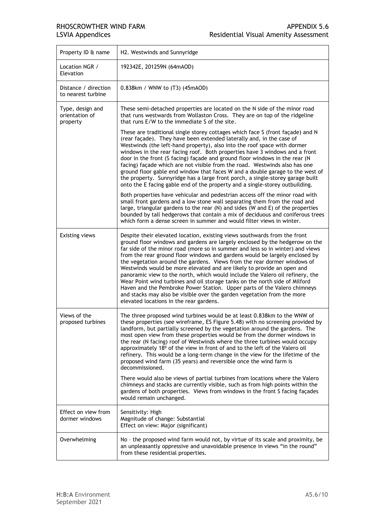| Property ID & name                             | H2. Westwinds and Sunnyridge                                                                                                                                                                                                                                                                                                                                                                                                                                                                                                                                                                                                                                                                                                                                                                                                                                                                                     |
|------------------------------------------------|------------------------------------------------------------------------------------------------------------------------------------------------------------------------------------------------------------------------------------------------------------------------------------------------------------------------------------------------------------------------------------------------------------------------------------------------------------------------------------------------------------------------------------------------------------------------------------------------------------------------------------------------------------------------------------------------------------------------------------------------------------------------------------------------------------------------------------------------------------------------------------------------------------------|
| Location NGR /<br>Elevation                    | 192342E, 201259N (64mAOD)                                                                                                                                                                                                                                                                                                                                                                                                                                                                                                                                                                                                                                                                                                                                                                                                                                                                                        |
| Distance / direction<br>to nearest turbine     | 0.838km / WNW to (T3) (45mAOD)                                                                                                                                                                                                                                                                                                                                                                                                                                                                                                                                                                                                                                                                                                                                                                                                                                                                                   |
| Type, design and<br>orientation of<br>property | These semi-detached properties are located on the N side of the minor road<br>that runs westwards from Wollaston Cross. They are on top of the ridgeline<br>that runs E/W to the immediate S of the site.                                                                                                                                                                                                                                                                                                                                                                                                                                                                                                                                                                                                                                                                                                        |
|                                                | These are traditional single storey cottages which face S (front façade) and N<br>(rear façade). They have been extended laterally and, in the case of<br>Westwinds (the left-hand property), also into the roof space with dormer<br>windows in the rear facing roof. Both properties have 3 windows and a front<br>door in the front (S facing) façade and ground floor windows in the rear (N<br>facing) façade which are not visible from the road. Westwinds also has one<br>ground floor gable end window that faces W and a double garage to the west of<br>the property. Sunnyridge has a large front porch, a single-storey garage built<br>onto the E facing gable end of the property and a single-storey outbuilding.                                                                                                                                                                                |
|                                                | Both properties have vehicular and pedestrian access off the minor road with<br>small front gardens and a low stone wall separating them from the road and<br>large, triangular gardens to the rear (N) and sides (W and E) of the properties<br>bounded by tall hedgerows that contain a mix of deciduous and coniferous trees<br>which form a dense screen in summer and would filter views in winter.                                                                                                                                                                                                                                                                                                                                                                                                                                                                                                         |
| <b>Existing views</b>                          | Despite their elevated location, existing views southwards from the front<br>ground floor windows and gardens are largely enclosed by the hedgerow on the<br>far side of the minor road (more so in summer and less so in winter) and views<br>from the rear ground floor windows and gardens would be largely enclosed by<br>the vegetation around the gardens. Views from the rear dormer windows of<br>Westwinds would be more elevated and are likely to provide an open and<br>panoramic view to the north, which would include the Valero oil refinery, the<br>Wear Point wind turbines and oil storage tanks on the north side of Milford<br>Haven and the Pembroke Power Station. Upper parts of the Valero chimneys<br>and stacks may also be visible over the garden vegetation from the more<br>elevated locations in the rear gardens.                                                               |
| Views of the<br>proposed turbines              | The three proposed wind turbines would be at least 0.838km to the WNW of<br>these properties (see wireframe, ES Figure 5.48) with no screening provided by<br>landform, but partially screened by the vegetation around the gardens. The<br>most open view from these properties would be from the dormer windows in<br>the rear (N facing) roof of Westwinds where the three turbines would occupy<br>approximately 18º of the view in front of and to the left of the Valero oil<br>refinery. This would be a long-term change in the view for the lifetime of the<br>proposed wind farm (35 years) and reversible once the wind farm is<br>decommissioned.<br>There would also be views of partial turbines from locations where the Valero<br>chimneys and stacks are currently visible, such as from high points within the<br>gardens of both properties. Views from windows in the front S facing façades |
| Effect on view from                            | would remain unchanged.<br>Sensitivity: High                                                                                                                                                                                                                                                                                                                                                                                                                                                                                                                                                                                                                                                                                                                                                                                                                                                                     |
| dormer windows                                 | Magnitude of change: Substantial<br>Effect on view: Major (significant)                                                                                                                                                                                                                                                                                                                                                                                                                                                                                                                                                                                                                                                                                                                                                                                                                                          |
| Overwhelming                                   | No - the proposed wind farm would not, by virtue of its scale and proximity, be<br>an unpleasantly oppressive and unavoidable presence in views "in the round"<br>from these residential properties.                                                                                                                                                                                                                                                                                                                                                                                                                                                                                                                                                                                                                                                                                                             |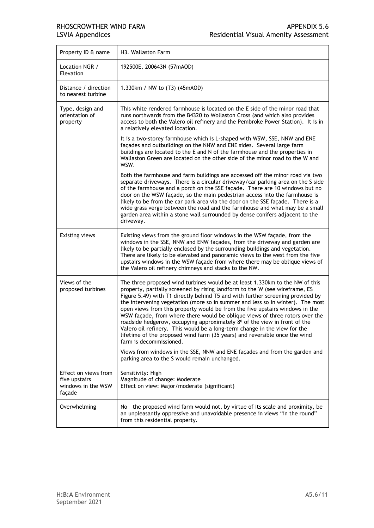| Property ID & name                                                    | H3. Wallaston Farm                                                                                                                                                                                                                                                                                                                                                                                                                                                                                                                                                                                                                                                                                                                                                                                                                                                                                            |
|-----------------------------------------------------------------------|---------------------------------------------------------------------------------------------------------------------------------------------------------------------------------------------------------------------------------------------------------------------------------------------------------------------------------------------------------------------------------------------------------------------------------------------------------------------------------------------------------------------------------------------------------------------------------------------------------------------------------------------------------------------------------------------------------------------------------------------------------------------------------------------------------------------------------------------------------------------------------------------------------------|
| Location NGR /<br>Elevation                                           | 192500E, 200643N (57mAOD)                                                                                                                                                                                                                                                                                                                                                                                                                                                                                                                                                                                                                                                                                                                                                                                                                                                                                     |
| Distance / direction<br>to nearest turbine                            | 1.330km / NW to (T3) (45mAOD)                                                                                                                                                                                                                                                                                                                                                                                                                                                                                                                                                                                                                                                                                                                                                                                                                                                                                 |
| Type, design and<br>orientation of<br>property                        | This white rendered farmhouse is located on the E side of the minor road that<br>runs northwards from the B4320 to Wollaston Cross (and which also provides<br>access to both the Valero oil refinery and the Pembroke Power Station). It is in<br>a relatively elevated location.                                                                                                                                                                                                                                                                                                                                                                                                                                                                                                                                                                                                                            |
|                                                                       | It is a two-storey farmhouse which is L-shaped with WSW, SSE, NNW and ENE<br>façades and outbuildings on the NNW and ENE sides. Several large farm<br>buildings are located to the E and N of the farmhouse and the properties in<br>Wallaston Green are located on the other side of the minor road to the W and<br>WSW.                                                                                                                                                                                                                                                                                                                                                                                                                                                                                                                                                                                     |
|                                                                       | Both the farmhouse and farm buildings are accessed off the minor road via two<br>separate driveways. There is a circular driveway/car parking area on the S side<br>of the farmhouse and a porch on the SSE façade. There are 10 windows but no<br>door on the WSW façade, so the main pedestrian access into the farmhouse is<br>likely to be from the car park area via the door on the SSE façade. There is a<br>wide grass verge between the road and the farmhouse and what may be a small<br>garden area within a stone wall surrounded by dense conifers adjacent to the<br>driveway.                                                                                                                                                                                                                                                                                                                  |
| <b>Existing views</b>                                                 | Existing views from the ground floor windows in the WSW façade, from the<br>windows in the SSE, NNW and ENW façades, from the driveway and garden are<br>likely to be partially enclosed by the surrounding buildings and vegetation.<br>There are likely to be elevated and panoramic views to the west from the five<br>upstairs windows in the WSW façade from where there may be oblique views of<br>the Valero oil refinery chimneys and stacks to the NW.                                                                                                                                                                                                                                                                                                                                                                                                                                               |
| Views of the<br>proposed turbines                                     | The three proposed wind turbines would be at least 1.330km to the NW of this<br>property, partially screened by rising landform to the W (see wireframe, ES<br>Figure 5.49) with T1 directly behind T5 and with further screening provided by<br>the intervening vegetation (more so in summer and less so in winter). The most<br>open views from this property would be from the five upstairs windows in the<br>WSW façade, from where there would be oblique views of three rotors over the<br>roadside hedgerow, occupying approximately 8 <sup>0</sup> of the view in front of the<br>Valero oil refinery. This would be a long-term change in the view for the<br>lifetime of the proposed wind farm (35 years) and reversible once the wind<br>farm is decommissioned.<br>Views from windows in the SSE, NNW and ENE façades and from the garden and<br>parking area to the S would remain unchanged. |
| Effect on views from<br>five upstairs<br>windows in the WSW<br>façade | Sensitivity: High<br>Magnitude of change: Moderate<br>Effect on view: Major/moderate (significant)                                                                                                                                                                                                                                                                                                                                                                                                                                                                                                                                                                                                                                                                                                                                                                                                            |
| Overwhelming                                                          | No - the proposed wind farm would not, by virtue of its scale and proximity, be<br>an unpleasantly oppressive and unavoidable presence in views "in the round"<br>from this residential property.                                                                                                                                                                                                                                                                                                                                                                                                                                                                                                                                                                                                                                                                                                             |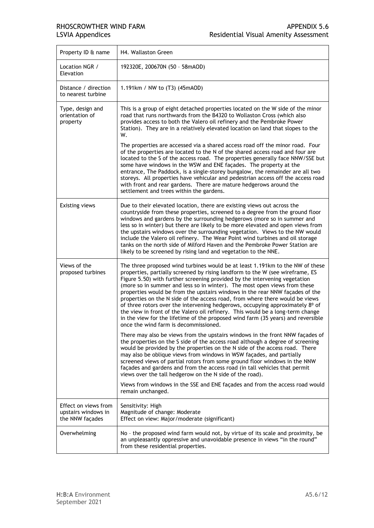| Property ID & name                                             | H4. Wallaston Green                                                                                                                                                                                                                                                                                                                                                                                                                                                                                                                                                                                                                                                                                                                                                                       |
|----------------------------------------------------------------|-------------------------------------------------------------------------------------------------------------------------------------------------------------------------------------------------------------------------------------------------------------------------------------------------------------------------------------------------------------------------------------------------------------------------------------------------------------------------------------------------------------------------------------------------------------------------------------------------------------------------------------------------------------------------------------------------------------------------------------------------------------------------------------------|
| Location NGR /<br>Elevation                                    | 192320E, 200670N (50 - 58mAOD)                                                                                                                                                                                                                                                                                                                                                                                                                                                                                                                                                                                                                                                                                                                                                            |
| Distance / direction<br>to nearest turbine                     | 1.191km / NW to (T3) (45mAOD)                                                                                                                                                                                                                                                                                                                                                                                                                                                                                                                                                                                                                                                                                                                                                             |
| Type, design and<br>orientation of<br>property                 | This is a group of eight detached properties located on the W side of the minor<br>road that runs northwards from the B4320 to Wollaston Cross (which also<br>provides access to both the Valero oil refinery and the Pembroke Power<br>Station). They are in a relatively elevated location on land that slopes to the<br>W.                                                                                                                                                                                                                                                                                                                                                                                                                                                             |
|                                                                | The properties are accessed via a shared access road off the minor road. Four<br>of the properties are located to the N of the shared access road and four are<br>located to the S of the access road. The properties generally face NNW/SSE but<br>some have windows in the WSW and ENE façades. The property at the<br>entrance, The Paddock, is a single-storey bungalow, the remainder are all two<br>storeys. All properties have vehicular and pedestrian access off the access road<br>with front and rear gardens. There are mature hedgerows around the<br>settlement and trees within the gardens.                                                                                                                                                                              |
| <b>Existing views</b>                                          | Due to their elevated location, there are existing views out across the<br>countryside from these properties, screened to a degree from the ground floor<br>windows and gardens by the surrounding hedgerows (more so in summer and<br>less so in winter) but there are likely to be more elevated and open views from<br>the upstairs windows over the surrounding vegetation. Views to the NW would<br>include the Valero oil refinery. The Wear Point wind turbines and oil storage<br>tanks on the north side of Milford Haven and the Pembroke Power Station are<br>likely to be screened by rising land and vegetation to the NNE.                                                                                                                                                  |
| Views of the<br>proposed turbines                              | The three proposed wind turbines would be at least 1.191km to the NW of these<br>properties, partially screened by rising landform to the W (see wireframe, ES<br>Figure 5.50) with further screening provided by the intervening vegetation<br>(more so in summer and less so in winter). The most open views from these<br>properties would be from the upstairs windows in the rear NNW façades of the<br>properties on the N side of the access road, from where there would be views<br>of three rotors over the intervening hedgerows, occupying approximately 8º of<br>the view in front of the Valero oil refinery. This would be a long-term change<br>in the view for the lifetime of the proposed wind farm (35 years) and reversible<br>once the wind farm is decommissioned. |
|                                                                | There may also be views from the upstairs windows in the front NNW façades of<br>the properties on the S side of the access road although a degree of screening<br>would be provided by the properties on the N side of the access road. There<br>may also be oblique views from windows in WSW façades, and partially<br>screened views of partial rotors from some ground floor windows in the NNW<br>façades and gardens and from the access road (in tall vehicles that permit<br>views over the tall hedgerow on the N side of the road).                                                                                                                                                                                                                                            |
|                                                                | Views from windows in the SSE and ENE façades and from the access road would<br>remain unchanged.                                                                                                                                                                                                                                                                                                                                                                                                                                                                                                                                                                                                                                                                                         |
| Effect on views from<br>upstairs windows in<br>the NNW façades | Sensitivity: High<br>Magnitude of change: Moderate<br>Effect on view: Major/moderate (significant)                                                                                                                                                                                                                                                                                                                                                                                                                                                                                                                                                                                                                                                                                        |
| Overwhelming                                                   | No - the proposed wind farm would not, by virtue of its scale and proximity, be<br>an unpleasantly oppressive and unavoidable presence in views "in the round"<br>from these residential properties.                                                                                                                                                                                                                                                                                                                                                                                                                                                                                                                                                                                      |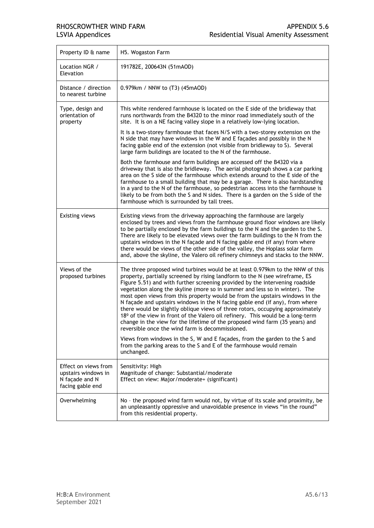| Property ID & name                                                                | H5. Wogaston Farm                                                                                                                                                                                                                                                                                                                                                                                                                                                                                                                                                                                                                                                                                                                                                                                                                                                                 |
|-----------------------------------------------------------------------------------|-----------------------------------------------------------------------------------------------------------------------------------------------------------------------------------------------------------------------------------------------------------------------------------------------------------------------------------------------------------------------------------------------------------------------------------------------------------------------------------------------------------------------------------------------------------------------------------------------------------------------------------------------------------------------------------------------------------------------------------------------------------------------------------------------------------------------------------------------------------------------------------|
| Location NGR /<br>Elevation                                                       | 191782E, 200643N (51mAOD)                                                                                                                                                                                                                                                                                                                                                                                                                                                                                                                                                                                                                                                                                                                                                                                                                                                         |
| Distance / direction<br>to nearest turbine                                        | 0.979km / NNW to (T3) (45mAOD)                                                                                                                                                                                                                                                                                                                                                                                                                                                                                                                                                                                                                                                                                                                                                                                                                                                    |
| Type, design and<br>orientation of<br>property                                    | This white rendered farmhouse is located on the E side of the bridleway that<br>runs northwards from the B4320 to the minor road immediately south of the<br>site. It is on a NE facing valley slope in a relatively low-lying location.                                                                                                                                                                                                                                                                                                                                                                                                                                                                                                                                                                                                                                          |
|                                                                                   | It is a two-storey farmhouse that faces N/S with a two-storey extension on the<br>N side that may have windows in the W and E façades and possibly in the N<br>facing gable end of the extension (not visible from bridleway to S). Several<br>large farm buildings are located to the N of the farmhouse.                                                                                                                                                                                                                                                                                                                                                                                                                                                                                                                                                                        |
|                                                                                   | Both the farmhouse and farm buildings are accessed off the B4320 via a<br>driveway that is also the bridleway. The aerial photograph shows a car parking<br>area on the S side of the farmhouse which extends around to the E side of the<br>farmhouse to a small building that may be a garage. There is also hardstanding<br>in a yard to the N of the farmhouse, so pedestrian access into the farmhouse is<br>likely to be from both the S and N sides. There is a garden on the S side of the<br>farmhouse which is surrounded by tall trees.                                                                                                                                                                                                                                                                                                                                |
| <b>Existing views</b>                                                             | Existing views from the driveway approaching the farmhouse are largely<br>enclosed by trees and views from the farmhouse ground floor windows are likely<br>to be partially enclosed by the farm buildings to the N and the garden to the S.<br>There are likely to be elevated views over the farm buildings to the N from the<br>upstairs windows in the N façade and N facing gable end (if any) from where<br>there would be views of the other side of the valley, the Hoplass solar farm<br>and, above the skyline, the Valero oil refinery chimneys and stacks to the NNW.                                                                                                                                                                                                                                                                                                 |
| Views of the<br>proposed turbines                                                 | The three proposed wind turbines would be at least 0.979km to the NNW of this<br>property, partially screened by rising landform to the N (see wireframe, ES<br>Figure 5.51) and with further screening provided by the intervening roadside<br>vegetation along the skyline (more so in summer and less so in winter). The<br>most open views from this property would be from the upstairs windows in the<br>N façade and upstairs windows in the N facing gable end (if any), from where<br>there would be slightly oblique views of three rotors, occupying approximately<br>18º of the view in front of the Valero oil refinery. This would be a long-term<br>change in the view for the lifetime of the proposed wind farm (35 years) and<br>reversible once the wind farm is decommissioned.<br>Views from windows in the S, W and E façades, from the garden to the S and |
|                                                                                   | from the parking areas to the S and E of the farmhouse would remain<br>unchanged.                                                                                                                                                                                                                                                                                                                                                                                                                                                                                                                                                                                                                                                                                                                                                                                                 |
| Effect on views from<br>upstairs windows in<br>N façade and N<br>facing gable end | Sensitivity: High<br>Magnitude of change: Substantial/moderate<br>Effect on view: Major/moderate+ (significant)                                                                                                                                                                                                                                                                                                                                                                                                                                                                                                                                                                                                                                                                                                                                                                   |
| Overwhelming                                                                      | No - the proposed wind farm would not, by virtue of its scale and proximity, be<br>an unpleasantly oppressive and unavoidable presence in views "in the round"<br>from this residential property.                                                                                                                                                                                                                                                                                                                                                                                                                                                                                                                                                                                                                                                                                 |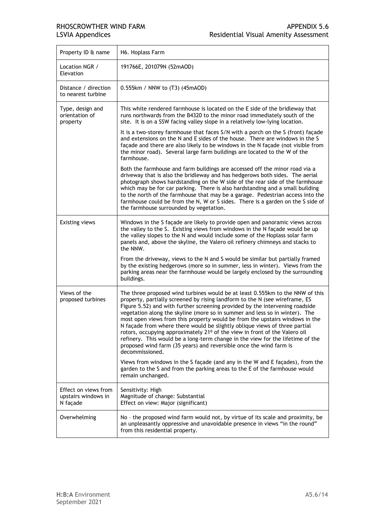| Property ID & name                                      | H6. Hoplass Farm                                                                                                                                                                                                                                                                                                                                                                                                                                                                                                                                                                                                                                                                                                                                               |
|---------------------------------------------------------|----------------------------------------------------------------------------------------------------------------------------------------------------------------------------------------------------------------------------------------------------------------------------------------------------------------------------------------------------------------------------------------------------------------------------------------------------------------------------------------------------------------------------------------------------------------------------------------------------------------------------------------------------------------------------------------------------------------------------------------------------------------|
| Location NGR /<br>Elevation                             | 191766E, 201079N (52mAOD)                                                                                                                                                                                                                                                                                                                                                                                                                                                                                                                                                                                                                                                                                                                                      |
| Distance / direction<br>to nearest turbine              | 0.555km / NNW to (T3) (45mAOD)                                                                                                                                                                                                                                                                                                                                                                                                                                                                                                                                                                                                                                                                                                                                 |
| Type, design and<br>orientation of<br>property          | This white rendered farmhouse is located on the E side of the bridleway that<br>runs northwards from the B4320 to the minor road immediately south of the<br>site. It is on a SSW facing valley slope in a relatively low-lying location.                                                                                                                                                                                                                                                                                                                                                                                                                                                                                                                      |
|                                                         | It is a two-storey farmhouse that faces S/N with a porch on the S (front) façade<br>and extensions on the N and E sides of the house. There are windows in the S<br>façade and there are also likely to be windows in the N façade (not visible from<br>the minor road). Several large farm buildings are located to the W of the<br>farmhouse.                                                                                                                                                                                                                                                                                                                                                                                                                |
|                                                         | Both the farmhouse and farm buildings are accessed off the minor road via a<br>driveway that is also the bridleway and has hedgerows both sides. The aerial<br>photograph shows hardstanding on the W side of the rear side of the farmhouse<br>which may be for car parking. There is also hardstanding and a small building<br>to the north of the farmhouse that may be a garage. Pedestrian access into the<br>farmhouse could be from the N, W or S sides. There is a garden on the S side of<br>the farmhouse surrounded by vegetation.                                                                                                                                                                                                                  |
| <b>Existing views</b>                                   | Windows in the S façade are likely to provide open and panoramic views across<br>the valley to the S. Existing views from windows in the N facade would be up<br>the valley slopes to the N and would include some of the Hoplass solar farm<br>panels and, above the skyline, the Valero oil refinery chimneys and stacks to<br>the NNW.                                                                                                                                                                                                                                                                                                                                                                                                                      |
|                                                         | From the driveway, views to the N and S would be similar but partially framed<br>by the existing hedgerows (more so in summer, less in winter). Views from the<br>parking areas near the farmhouse would be largely enclosed by the surrounding<br>buildings.                                                                                                                                                                                                                                                                                                                                                                                                                                                                                                  |
| Views of the<br>proposed turbines                       | The three proposed wind turbines would be at least 0.555km to the NNW of this<br>property, partially screened by rising landform to the N (see wireframe, ES<br>Figure 5.52) and with further screening provided by the intervening roadside<br>vegetation along the skyline (more so in summer and less so in winter). The<br>most open views from this property would be from the upstairs windows in the<br>N façade from where there would be slightly oblique views of three partial<br>rotors, occupying approximately 21 <sup>0</sup> of the view in front of the Valero oil<br>refinery. This would be a long-term change in the view for the lifetime of the<br>proposed wind farm (35 years) and reversible once the wind farm is<br>decommissioned. |
|                                                         | Views from windows in the S façade (and any in the W and E façades), from the<br>garden to the S and from the parking areas to the E of the farmhouse would<br>remain unchanged.                                                                                                                                                                                                                                                                                                                                                                                                                                                                                                                                                                               |
| Effect on views from<br>upstairs windows in<br>N façade | Sensitivity: High<br>Magnitude of change: Substantial<br>Effect on view: Major (significant)                                                                                                                                                                                                                                                                                                                                                                                                                                                                                                                                                                                                                                                                   |
| Overwhelming                                            | No - the proposed wind farm would not, by virtue of its scale and proximity, be<br>an unpleasantly oppressive and unavoidable presence in views "in the round"<br>from this residential property.                                                                                                                                                                                                                                                                                                                                                                                                                                                                                                                                                              |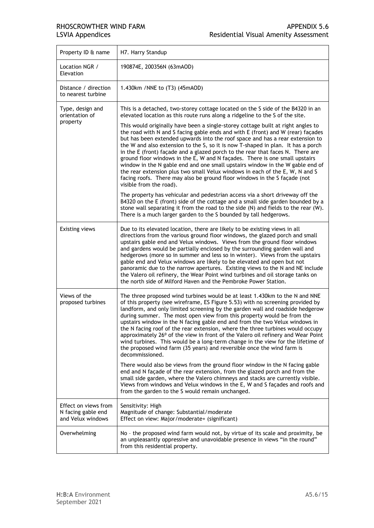| Property ID & name                                              | H7. Harry Standup                                                                                                                                                                                                                                                                                                                                                                                                                                                                                                                                                                                                                                                                                                                                                                                                                                                                                                                                                                                             |
|-----------------------------------------------------------------|---------------------------------------------------------------------------------------------------------------------------------------------------------------------------------------------------------------------------------------------------------------------------------------------------------------------------------------------------------------------------------------------------------------------------------------------------------------------------------------------------------------------------------------------------------------------------------------------------------------------------------------------------------------------------------------------------------------------------------------------------------------------------------------------------------------------------------------------------------------------------------------------------------------------------------------------------------------------------------------------------------------|
| Location NGR /<br>Elevation                                     | 190874E, 200356N (63mAOD)                                                                                                                                                                                                                                                                                                                                                                                                                                                                                                                                                                                                                                                                                                                                                                                                                                                                                                                                                                                     |
| Distance / direction<br>to nearest turbine                      | 1.430km / NNE to (T3) (45mAOD)                                                                                                                                                                                                                                                                                                                                                                                                                                                                                                                                                                                                                                                                                                                                                                                                                                                                                                                                                                                |
| Type, design and<br>orientation of                              | This is a detached, two-storey cottage located on the S side of the B4320 in an<br>elevated location as this route runs along a ridgeline to the S of the site.                                                                                                                                                                                                                                                                                                                                                                                                                                                                                                                                                                                                                                                                                                                                                                                                                                               |
| property                                                        | This would originally have been a single-storey cottage built at right angles to<br>the road with N and S facing gable ends and with E (front) and W (rear) façades<br>but has been extended upwards into the roof space and has a rear extension to<br>the W and also extension to the S, so it is now T-shaped in plan. It has a porch<br>in the E (front) façade and a glazed porch to the rear that faces N. There are<br>ground floor windows in the E, W and N façades. There is one small upstairs<br>window in the N gable end and one small upstairs window in the W gable end of<br>the rear extension plus two small Velux windows in each of the E, W, N and S<br>facing roofs. There may also be ground floor windows in the S façade (not<br>visible from the road).                                                                                                                                                                                                                            |
|                                                                 | The property has vehicular and pedestrian access via a short driveway off the<br>B4320 on the E (front) side of the cottage and a small side garden bounded by a<br>stone wall separating it from the road to the side (N) and fields to the rear (W).<br>There is a much larger garden to the S bounded by tall hedgerows.                                                                                                                                                                                                                                                                                                                                                                                                                                                                                                                                                                                                                                                                                   |
| Existing views                                                  | Due to its elevated location, there are likely to be existing views in all<br>directions from the various ground floor windows, the glazed porch and small<br>upstairs gable end and Velux windows. Views from the ground floor windows<br>and gardens would be partially enclosed by the surrounding garden wall and<br>hedgerows (more so in summer and less so in winter). Views from the upstairs<br>gable end and Velux windows are likely to be elevated and open but not<br>panoramic due to the narrow apertures. Existing views to the N and NE include<br>the Valero oil refinery, the Wear Point wind turbines and oil storage tanks on<br>the north side of Milford Haven and the Pembroke Power Station.                                                                                                                                                                                                                                                                                         |
| Views of the<br>proposed turbines                               | The three proposed wind turbines would be at least 1.430km to the N and NNE<br>of this property (see wireframe, ES Figure 5.53) with no screening provided by<br>landform, and only limited screening by the garden wall and roadside hedgerow<br>during summer. The most open view from this property would be from the<br>upstairs window in the N facing gable end and from the two Velux windows in<br>the N facing roof of the rear extension, where the three turbines would occupy<br>approximately 26° of the view in front of the Valero oil refinery and Wear Point<br>wind turbines. This would be a long-term change in the view for the lifetime of<br>the proposed wind farm (35 years) and reversible once the wind farm is<br>decommissioned.<br>There would also be views from the ground floor window in the N facing gable<br>end and N façade of the rear extension, from the glazed porch and from the<br>small side garden, where the Valero chimneys and stacks are currently visible. |
|                                                                 | Views from windows and Velux windows in the E, W and S façades and roofs and<br>from the garden to the S would remain unchanged.                                                                                                                                                                                                                                                                                                                                                                                                                                                                                                                                                                                                                                                                                                                                                                                                                                                                              |
| Effect on views from<br>N facing gable end<br>and Velux windows | Sensitivity: High<br>Magnitude of change: Substantial/moderate<br>Effect on view: Major/moderate+ (significant)                                                                                                                                                                                                                                                                                                                                                                                                                                                                                                                                                                                                                                                                                                                                                                                                                                                                                               |
| Overwhelming                                                    | No - the proposed wind farm would not, by virtue of its scale and proximity, be<br>an unpleasantly oppressive and unavoidable presence in views "in the round"<br>from this residential property.                                                                                                                                                                                                                                                                                                                                                                                                                                                                                                                                                                                                                                                                                                                                                                                                             |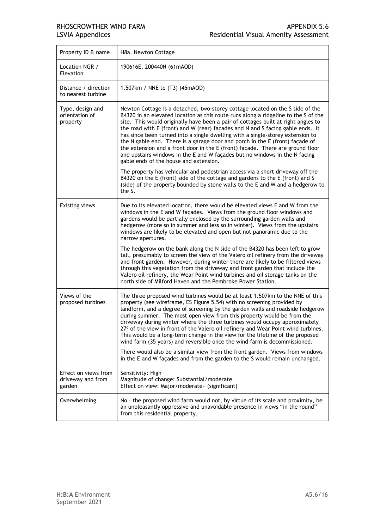| Property ID & name                                  | H8a. Newton Cottage                                                                                                                                                                                                                                                                                                                                                                                                                                                                                                                                                                                                                                                                                                    |
|-----------------------------------------------------|------------------------------------------------------------------------------------------------------------------------------------------------------------------------------------------------------------------------------------------------------------------------------------------------------------------------------------------------------------------------------------------------------------------------------------------------------------------------------------------------------------------------------------------------------------------------------------------------------------------------------------------------------------------------------------------------------------------------|
| Location NGR /<br>Elevation                         | 190616E, 200440N (61mAOD)                                                                                                                                                                                                                                                                                                                                                                                                                                                                                                                                                                                                                                                                                              |
| Distance / direction<br>to nearest turbine          | 1.507km / NNE to (T3) (45mAOD)                                                                                                                                                                                                                                                                                                                                                                                                                                                                                                                                                                                                                                                                                         |
| Type, design and<br>orientation of<br>property      | Newton Cottage is a detached, two-storey cottage located on the S side of the<br>B4320 in an elevated location as this route runs along a ridgeline to the S of the<br>site. This would originally have been a pair of cottages built at right angles to<br>the road with E (front) and W (rear) facades and N and S facing gable ends. It<br>has since been turned into a single dwelling with a single-storey extension to<br>the N gable end. There is a garage door and porch in the E (front) façade of<br>the extension and a front door in the E (front) façade. There are ground floor<br>and upstairs windows in the E and W façades but no windows in the N facing<br>gable ends of the house and extension. |
|                                                     | The property has vehicular and pedestrian access via a short driveway off the<br>B4320 on the E (front) side of the cottage and gardens to the E (front) and S<br>(side) of the property bounded by stone walls to the E and W and a hedgerow to<br>the S.                                                                                                                                                                                                                                                                                                                                                                                                                                                             |
| <b>Existing views</b>                               | Due to its elevated location, there would be elevated views E and W from the<br>windows in the E and W façades. Views from the ground floor windows and<br>gardens would be partially enclosed by the surrounding garden walls and<br>hedgerow (more so in summer and less so in winter). Views from the upstairs<br>windows are likely to be elevated and open but not panoramic due to the<br>narrow apertures.                                                                                                                                                                                                                                                                                                      |
|                                                     | The hedgerow on the bank along the N side of the B4320 has been left to grow<br>tall, presumably to screen the view of the Valero oil refinery from the driveway<br>and front garden. However, during winter there are likely to be filtered views<br>through this vegetation from the driveway and front garden that include the<br>Valero oil refinery, the Wear Point wind turbines and oil storage tanks on the<br>north side of Milford Haven and the Pembroke Power Station.                                                                                                                                                                                                                                     |
| Views of the<br>proposed turbines                   | The three proposed wind turbines would be at least 1.507km to the NNE of this<br>property (see wireframe, ES Figure 5.54) with no screening provided by<br>landform, and a degree of screening by the garden walls and roadside hedgerow<br>during summer. The most open view from this property would be from the<br>driveway during winter where the three turbines would occupy approximately<br>27º of the view in front of the Valero oil refinery and Wear Point wind turbines.<br>This would be a long-term change in the view for the lifetime of the proposed<br>wind farm (35 years) and reversible once the wind farm is decommissioned.                                                                    |
|                                                     | There would also be a similar view from the front garden. Views from windows<br>in the E and W façades and from the garden to the S would remain unchanged.                                                                                                                                                                                                                                                                                                                                                                                                                                                                                                                                                            |
| Effect on views from<br>driveway and from<br>garden | Sensitivity: High<br>Magnitude of change: Substantial/moderate<br>Effect on view: Major/moderate+ (significant)                                                                                                                                                                                                                                                                                                                                                                                                                                                                                                                                                                                                        |
| Overwhelming                                        | No - the proposed wind farm would not, by virtue of its scale and proximity, be<br>an unpleasantly oppressive and unavoidable presence in views "in the round"<br>from this residential property.                                                                                                                                                                                                                                                                                                                                                                                                                                                                                                                      |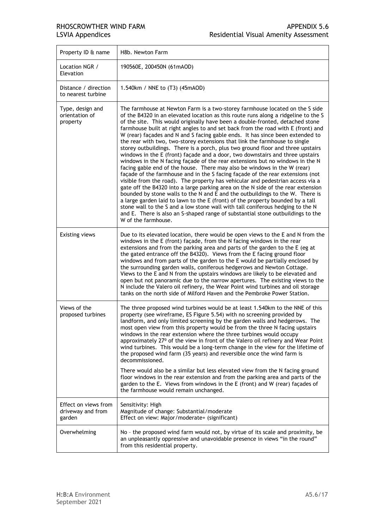| Property ID & name                                  | H8b. Newton Farm                                                                                                                                                                                                                                                                                                                                                                                                                                                                                                                                                                                                                                                                                                                                                                                                                                                                                                                                                                                                                                                                                                                                                                                                                                                                                                                                                                                                                                               |
|-----------------------------------------------------|----------------------------------------------------------------------------------------------------------------------------------------------------------------------------------------------------------------------------------------------------------------------------------------------------------------------------------------------------------------------------------------------------------------------------------------------------------------------------------------------------------------------------------------------------------------------------------------------------------------------------------------------------------------------------------------------------------------------------------------------------------------------------------------------------------------------------------------------------------------------------------------------------------------------------------------------------------------------------------------------------------------------------------------------------------------------------------------------------------------------------------------------------------------------------------------------------------------------------------------------------------------------------------------------------------------------------------------------------------------------------------------------------------------------------------------------------------------|
| Location NGR /<br>Elevation                         | 190560E, 200450N (61mAOD)                                                                                                                                                                                                                                                                                                                                                                                                                                                                                                                                                                                                                                                                                                                                                                                                                                                                                                                                                                                                                                                                                                                                                                                                                                                                                                                                                                                                                                      |
| Distance / direction<br>to nearest turbine          | 1.540km / NNE to (T3) (45mAOD)                                                                                                                                                                                                                                                                                                                                                                                                                                                                                                                                                                                                                                                                                                                                                                                                                                                                                                                                                                                                                                                                                                                                                                                                                                                                                                                                                                                                                                 |
| Type, design and<br>orientation of<br>property      | The farmhouse at Newton Farm is a two-storey farmhouse located on the S side<br>of the B4320 in an elevated location as this route runs along a ridgeline to the S<br>of the site. This would originally have been a double-fronted, detached stone<br>farmhouse built at right angles to and set back from the road with E (front) and<br>W (rear) façades and N and S facing gable ends. It has since been extended to<br>the rear with two, two-storey extensions that link the farmhouse to single<br>storey outbuildings. There is a porch, plus two ground floor and three upstairs<br>windows in the E (front) façade and a door, two downstairs and three upstairs<br>windows in the N facing façade of the rear extensions but no windows in the N<br>facing gable end of the house. There may also be windows in the W (rear)<br>façade of the farmhouse and in the S facing façade of the rear extensions (not<br>visible from the road). The property has vehicular and pedestrian access via a<br>gate off the B4320 into a large parking area on the N side of the rear extension<br>bounded by stone walls to the N and E and the outbuildings to the W. There is<br>a large garden laid to lawn to the E (front) of the property bounded by a tall<br>stone wall to the S and a low stone wall with tall coniferous hedging to the N<br>and E. There is also an S-shaped range of substantial stone outbuildings to the<br>W of the farmhouse. |
| <b>Existing views</b>                               | Due to its elevated location, there would be open views to the E and N from the<br>windows in the E (front) façade, from the N facing windows in the rear<br>extensions and from the parking area and parts of the garden to the E (eg at<br>the gated entrance off the B4320). Views from the E facing ground floor<br>windows and from parts of the garden to the E would be partially enclosed by<br>the surrounding garden walls, coniferous hedgerows and Newton Cottage.<br>Views to the E and N from the upstairs windows are likely to be elevated and<br>open but not panoramic due to the narrow apertures. The existing views to the<br>N include the Valero oil refinery, the Wear Point wind turbines and oil storage<br>tanks on the north side of Milford Haven and the Pembroke Power Station.                                                                                                                                                                                                                                                                                                                                                                                                                                                                                                                                                                                                                                                 |
| Views of the<br>proposed turbines                   | The three proposed wind turbines would be at least 1.540km to the NNE of this<br>property (see wireframe, ES Figure 5.54) with no screening provided by<br>landform, and only limited screening by the garden walls and hedgerows. The<br>most open view from this property would be from the three N facing upstairs<br>windows in the rear extension where the three turbines would occupy<br>approximately 27º of the view in front of the Valero oil refinery and Wear Point<br>wind turbines. This would be a long-term change in the view for the lifetime of<br>the proposed wind farm (35 years) and reversible once the wind farm is<br>decommissioned.<br>There would also be a similar but less elevated view from the N facing ground<br>floor windows in the rear extension and from the parking area and parts of the<br>garden to the E. Views from windows in the E (front) and W (rear) façades of<br>the farmhouse would remain unchanged.                                                                                                                                                                                                                                                                                                                                                                                                                                                                                                   |
| Effect on views from<br>driveway and from<br>garden | Sensitivity: High<br>Magnitude of change: Substantial/moderate<br>Effect on view: Major/moderate+ (significant)                                                                                                                                                                                                                                                                                                                                                                                                                                                                                                                                                                                                                                                                                                                                                                                                                                                                                                                                                                                                                                                                                                                                                                                                                                                                                                                                                |
| Overwhelming                                        | No - the proposed wind farm would not, by virtue of its scale and proximity, be<br>an unpleasantly oppressive and unavoidable presence in views "in the round"<br>from this residential property.                                                                                                                                                                                                                                                                                                                                                                                                                                                                                                                                                                                                                                                                                                                                                                                                                                                                                                                                                                                                                                                                                                                                                                                                                                                              |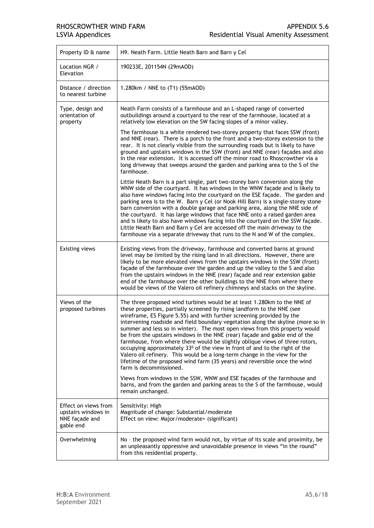| Property ID & name                                                         | H9. Neath Farm. Little Neath Barn and Barn y Cel                                                                                                                                                                                                                                                                                                                                                                                                                                                                                                                                                                                                                                                                                                                                                                                                                                                              |
|----------------------------------------------------------------------------|---------------------------------------------------------------------------------------------------------------------------------------------------------------------------------------------------------------------------------------------------------------------------------------------------------------------------------------------------------------------------------------------------------------------------------------------------------------------------------------------------------------------------------------------------------------------------------------------------------------------------------------------------------------------------------------------------------------------------------------------------------------------------------------------------------------------------------------------------------------------------------------------------------------|
| Location NGR /<br>Elevation                                                | 190233E, 201154N (29mAOD)                                                                                                                                                                                                                                                                                                                                                                                                                                                                                                                                                                                                                                                                                                                                                                                                                                                                                     |
| Distance / direction<br>to nearest turbine                                 | 1.280km / NNE to (T1) (55mAOD)                                                                                                                                                                                                                                                                                                                                                                                                                                                                                                                                                                                                                                                                                                                                                                                                                                                                                |
| Type, design and<br>orientation of<br>property                             | Neath Farm consists of a farmhouse and an L-shaped range of converted<br>outbuildings around a courtyard to the rear of the farmhouse, located at a<br>relatively low elevation on the SW facing slopes of a minor valley.                                                                                                                                                                                                                                                                                                                                                                                                                                                                                                                                                                                                                                                                                    |
|                                                                            | The farmhouse is a white rendered two-storey property that faces SSW (front)<br>and NNE (rear). There is a porch to the front and a two-storey extension to the<br>rear. It is not clearly visible from the surrounding roads but is likely to have<br>ground and upstairs windows in the SSW (front) and NNE (rear) façades and also<br>in the rear extension. It is accessed off the minor road to Rhoscrowther via a<br>long driveway that sweeps around the garden and parking area to the S of the<br>farmhouse.                                                                                                                                                                                                                                                                                                                                                                                         |
|                                                                            | Little Neath Barn is a part single, part two-storey barn conversion along the<br>WNW side of the courtyard. It has windows in the WNW façade and is likely to<br>also have windows facing into the courtyard on the ESE facade. The garden and<br>parking area is to the W. Barn y Cel (or Nook Hill Barn) is a single-storey stone<br>barn conversion with a double garage and parking area, along the NNE side of<br>the courtyard. It has large windows that face NNE onto a raised garden area<br>and is likely to also have windows facing into the courtyard on the SSW façade.<br>Little Neath Barn and Barn y Cel are accessed off the main driveway to the<br>farmhouse via a separate driveway that runs to the N and W of the complex.                                                                                                                                                             |
| <b>Existing views</b>                                                      | Existing views from the driveway, farmhouse and converted barns at ground<br>level may be limited by the rising land in all directions. However, there are<br>likely to be more elevated views from the upstairs windows in the SSW (front)<br>façade of the farmhouse over the garden and up the valley to the S and also<br>from the upstairs windows in the NNE (rear) façade and rear extension gable<br>end of the farmhouse over the other buildings to the NNE from where there<br>would be views of the Valero oil refinery chimneys and stacks on the skyline.                                                                                                                                                                                                                                                                                                                                       |
| Views of the<br>proposed turbines                                          | The three proposed wind turbines would be at least 1.280km to the NNE of<br>these properties, partially screened by rising landform to the NNE (see<br>wireframe, ES Figure 5.55) and with further screening provided by the<br>intervening roadside and field boundary vegetation along the skyline (more so in<br>summer and less so in winter). The most open views from this property would<br>be from the upstairs windows in the NNE (rear) façade and gable end of the<br>farmhouse, from where there would be slightly oblique views of three rotors,<br>occupying approximately 33° of the view in front of and to the right of the<br>Valero oil refinery. This would be a long-term change in the view for the<br>lifetime of the proposed wind farm (35 years) and reversible once the wind<br>farm is decommissioned.<br>Views from windows in the SSW, WNW and ESE façades of the farmhouse and |
|                                                                            | barns, and from the garden and parking areas to the S of the farmhouse, would<br>remain unchanged.                                                                                                                                                                                                                                                                                                                                                                                                                                                                                                                                                                                                                                                                                                                                                                                                            |
| Effect on views from<br>upstairs windows in<br>NNE façade and<br>gable end | Sensitivity: High<br>Magnitude of change: Substantial/moderate<br>Effect on view: Major/moderate+ (significant)                                                                                                                                                                                                                                                                                                                                                                                                                                                                                                                                                                                                                                                                                                                                                                                               |
| Overwhelming                                                               | No - the proposed wind farm would not, by virtue of its scale and proximity, be<br>an unpleasantly oppressive and unavoidable presence in views "in the round"<br>from this residential property.                                                                                                                                                                                                                                                                                                                                                                                                                                                                                                                                                                                                                                                                                                             |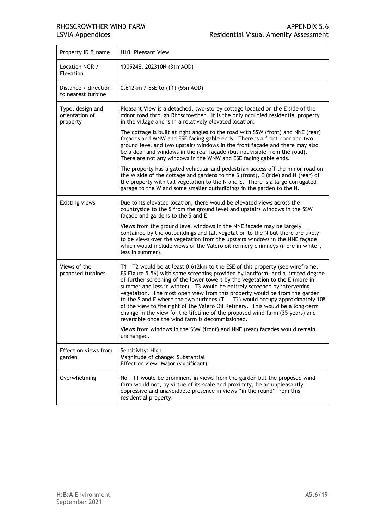| Property ID & name                             | H <sub>10</sub> . Pleasant View                                                                                                                                                                                                                                                                                                                                                                                                                                                                                                                                                                                                                                                                                                                                                                                       |
|------------------------------------------------|-----------------------------------------------------------------------------------------------------------------------------------------------------------------------------------------------------------------------------------------------------------------------------------------------------------------------------------------------------------------------------------------------------------------------------------------------------------------------------------------------------------------------------------------------------------------------------------------------------------------------------------------------------------------------------------------------------------------------------------------------------------------------------------------------------------------------|
| Location NGR /<br>Elevation                    | 190524E, 202310N (31mAOD)                                                                                                                                                                                                                                                                                                                                                                                                                                                                                                                                                                                                                                                                                                                                                                                             |
| Distance / direction<br>to nearest turbine     | 0.612km / ESE to (T1) (55mAOD)                                                                                                                                                                                                                                                                                                                                                                                                                                                                                                                                                                                                                                                                                                                                                                                        |
| Type, design and<br>orientation of<br>property | Pleasant View is a detached, two-storey cottage located on the E side of the<br>minor road through Rhoscrowther. It is the only occupied residential property<br>in the village and is in a relatively elevated location.                                                                                                                                                                                                                                                                                                                                                                                                                                                                                                                                                                                             |
|                                                | The cottage is built at right angles to the road with SSW (front) and NNE (rear)<br>façades and WNW and ESE facing gable ends. There is a front door and two<br>ground level and two upstairs windows in the front façade and there may also<br>be a door and windows in the rear façade (but not visible from the road).<br>There are not any windows in the WNW and ESE facing gable ends.                                                                                                                                                                                                                                                                                                                                                                                                                          |
|                                                | The property has a gated vehicular and pedestrian access off the minor road on<br>the W side of the cottage and gardens to the S (front), E (side) and N (rear) of<br>the property with tall vegetation to the N and E. There is a large corrugated<br>garage to the W and some smaller outbuildings in the garden to the N.                                                                                                                                                                                                                                                                                                                                                                                                                                                                                          |
| <b>Existing views</b>                          | Due to its elevated location, there would be elevated views across the<br>countryside to the S from the ground level and upstairs windows in the SSW<br>façade and gardens to the S and E.                                                                                                                                                                                                                                                                                                                                                                                                                                                                                                                                                                                                                            |
|                                                | Views from the ground level windows in the NNE façade may be largely<br>contained by the outbuildings and tall vegetation to the N but there are likely<br>to be views over the vegetation from the upstairs windows in the NNE façade<br>which would include views of the Valero oil refinery chimneys (more in winter,<br>less in summer).                                                                                                                                                                                                                                                                                                                                                                                                                                                                          |
| Views of the<br>proposed turbines              | T1 - T2 would be at least 0.612km to the ESE of this property (see wireframe,<br>ES Figure 5.56) with some screening provided by landform, and a limited degree<br>of further screening of the lower towers by the vegetation to the E (more in<br>summer and less in winter). T3 would be entirely screened by intervening<br>vegetation. The most open view from this property would be from the garden<br>to the S and E where the two turbines (T1 - T2) would occupy approximately $10^{\circ}$<br>of the view to the right of the Valero Oil Refinery. This would be a long-term<br>change in the view for the lifetime of the proposed wind farm (35 years) and<br>reversible once the wind farm is decommissioned.<br>Views from windows in the SSW (front) and NNE (rear) façades would remain<br>unchanged. |
| Effect on views from<br>garden                 | Sensitivity: High<br>Magnitude of change: Substantial<br>Effect on view: Major (significant)                                                                                                                                                                                                                                                                                                                                                                                                                                                                                                                                                                                                                                                                                                                          |
| Overwhelming                                   | No - T1 would be prominent in views from the garden but the proposed wind<br>farm would not, by virtue of its scale and proximity, be an unpleasantly<br>oppressive and unavoidable presence in views "in the round" from this<br>residential property.                                                                                                                                                                                                                                                                                                                                                                                                                                                                                                                                                               |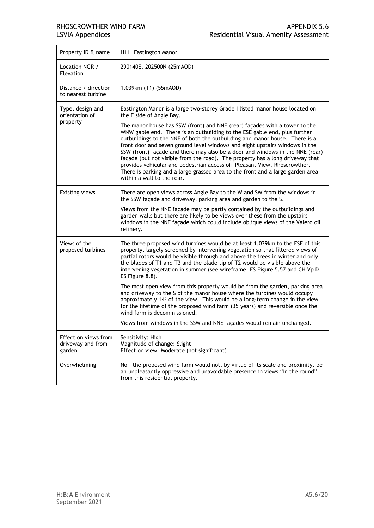| Property ID & name                                  | H11. Eastington Manor                                                                                                                                                                                                                                                                                                                                                                                                                                                                                                                                                                               |
|-----------------------------------------------------|-----------------------------------------------------------------------------------------------------------------------------------------------------------------------------------------------------------------------------------------------------------------------------------------------------------------------------------------------------------------------------------------------------------------------------------------------------------------------------------------------------------------------------------------------------------------------------------------------------|
| Location NGR /<br>Elevation                         | 290140E, 202500N (25mAOD)                                                                                                                                                                                                                                                                                                                                                                                                                                                                                                                                                                           |
| Distance / direction<br>to nearest turbine          | 1.039km (T1) (55mAOD)                                                                                                                                                                                                                                                                                                                                                                                                                                                                                                                                                                               |
| Type, design and<br>orientation of<br>property      | Eastington Manor is a large two-storey Grade I listed manor house located on<br>the E side of Angle Bay.<br>The manor house has SSW (front) and NNE (rear) façades with a tower to the<br>WNW gable end. There is an outbuilding to the ESE gable end, plus further<br>outbuildings to the NNE of both the outbuilding and manor house. There is a<br>front door and seven ground level windows and eight upstairs windows in the<br>SSW (front) façade and there may also be a door and windows in the NNE (rear)<br>façade (but not visible from the road). The property has a long driveway that |
|                                                     | provides vehicular and pedestrian access off Pleasant View, Rhoscrowther.<br>There is parking and a large grassed area to the front and a large garden area<br>within a wall to the rear.                                                                                                                                                                                                                                                                                                                                                                                                           |
| <b>Existing views</b>                               | There are open views across Angle Bay to the W and SW from the windows in<br>the SSW façade and driveway, parking area and garden to the S.                                                                                                                                                                                                                                                                                                                                                                                                                                                         |
|                                                     | Views from the NNE façade may be partly contained by the outbuildings and<br>garden walls but there are likely to be views over these from the upstairs<br>windows in the NNE façade which could include oblique views of the Valero oil<br>refinery.                                                                                                                                                                                                                                                                                                                                               |
| Views of the<br>proposed turbines                   | The three proposed wind turbines would be at least 1.039km to the ESE of this<br>property, largely screened by intervening vegetation so that filtered views of<br>partial rotors would be visible through and above the trees in winter and only<br>the blades of T1 and T3 and the blade tip of T2 would be visible above the<br>intervening vegetation in summer (see wireframe, ES Figure 5.57 and CH Vp D,<br>ES Figure 8.8).                                                                                                                                                                  |
|                                                     | The most open view from this property would be from the garden, parking area<br>and driveway to the S of the manor house where the turbines would occupy<br>approximately 14 <sup>0</sup> of the view. This would be a long-term change in the view<br>for the lifetime of the proposed wind farm (35 years) and reversible once the<br>wind farm is decommissioned.                                                                                                                                                                                                                                |
|                                                     | Views from windows in the SSW and NNE façades would remain unchanged.                                                                                                                                                                                                                                                                                                                                                                                                                                                                                                                               |
| Effect on views from<br>driveway and from<br>garden | Sensitivity: High<br>Magnitude of change: Slight<br>Effect on view: Moderate (not significant)                                                                                                                                                                                                                                                                                                                                                                                                                                                                                                      |
| Overwhelming                                        | No - the proposed wind farm would not, by virtue of its scale and proximity, be<br>an unpleasantly oppressive and unavoidable presence in views "in the round"<br>from this residential property.                                                                                                                                                                                                                                                                                                                                                                                                   |